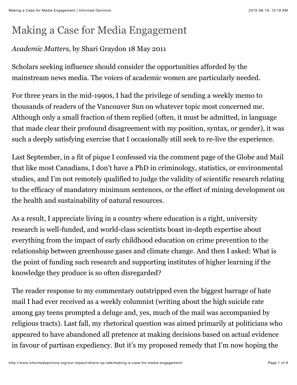# Making a Case for Media Engagement

### *Academic Matters*, by Shari Graydon 18 May 2011

Scholars seeking influence should consider the opportunities afforded by the mainstream news media. The voices of academic women are particularly needed.

For three years in the mid-1990s, I had the privilege of sending a weekly memo to thousands of readers of the Vancouver Sun on whatever topic most concerned me. Although only a small fraction of them replied (often, it must be admitted, in language that made clear their profound disagreement with my position, syntax, or gender), it was such a deeply satisfying exercise that I occasionally still seek to re-live the experience.

Last September, in a fit of pique I confessed via the comment page of the Globe and Mail that like most Canadians, I don't have a PhD in criminology, statistics, or environmental studies, and I'm not remotely qualified to judge the validity of scientific research relating to the efficacy of mandatory minimum sentences, or the effect of mining development on the health and sustainability of natural resources.

As a result, I appreciate living in a country where education is a right, university research is well-funded, and world-class scientists boast in-depth expertise about everything from the impact of early childhood education on crime prevention to the relationship between greenhouse gases and climate change. And then I asked: What is the point of funding such research and supporting institutes of higher learning if the knowledge they produce is so often disregarded?

The reader response to my commentary outstripped even the biggest barrage of hate mail I had ever received as a weekly columnist (writing about the high suicide rate among gay teens prompted a deluge and, yes, much of the mail was accompanied by religious tracts). Last fall, my rhetorical question was aimed primarily at politicians who appeared to have abandoned all pretence at making decisions based on actual evidence in favour of partisan expediency. But it's my proposed remedy that I'm now hoping the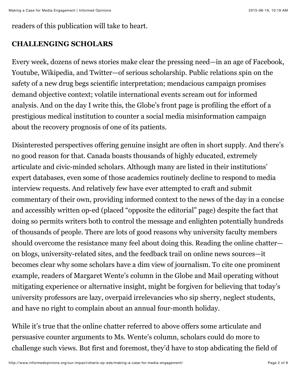readers of this publication will take to heart.

#### **CHALLENGING SCHOLARS**

Every week, dozens of news stories make clear the pressing need—in an age of Facebook, Youtube, Wikipedia, and Twitter—of serious scholarship. Public relations spin on the safety of a new drug begs scientific interpretation; mendacious campaign promises demand objective context; volatile international events scream out for informed analysis. And on the day I write this, the Globe's front page is profiling the effort of a prestigious medical institution to counter a social media misinformation campaign about the recovery prognosis of one of its patients.

Disinterested perspectives offering genuine insight are often in short supply. And there's no good reason for that. Canada boasts thousands of highly educated, extremely articulate and civic-minded scholars. Although many are listed in their institutions' expert databases, even some of those academics routinely decline to respond to media interview requests. And relatively few have ever attempted to craft and submit commentary of their own, providing informed context to the news of the day in a concise and accessibly written op-ed (placed "opposite the editorial" page) despite the fact that doing so permits writers both to control the message and enlighten potentially hundreds of thousands of people. There are lots of good reasons why university faculty members should overcome the resistance many feel about doing this. Reading the online chatter on blogs, university-related sites, and the feedback trail on online news sources—it becomes clear why some scholars have a dim view of journalism. To cite one prominent example, readers of Margaret Wente's column in the Globe and Mail operating without mitigating experience or alternative insight, might be forgiven for believing that today's university professors are lazy, overpaid irrelevancies who sip sherry, neglect students, and have no right to complain about an annual four-month holiday.

While it's true that the online chatter referred to above offers some articulate and persuasive counter arguments to Ms. Wente's column, scholars could do more to challenge such views. But first and foremost, they'd have to stop abdicating the field of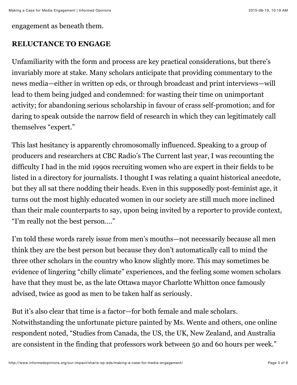engagement as beneath them.

#### **RELUCTANCE TO ENGAGE**

Unfamiliarity with the form and process are key practical considerations, but there's invariably more at stake. Many scholars anticipate that providing commentary to the news media—either in written op eds, or through broadcast and print interviews—will lead to them being judged and condemned: for wasting their time on unimportant activity; for abandoning serious scholarship in favour of crass self-promotion; and for daring to speak outside the narrow field of research in which they can legitimately call themselves "expert."

This last hesitancy is apparently chromosomally influenced. Speaking to a group of producers and researchers at CBC Radio's The Current last year, I was recounting the difficulty I had in the mid 1990s recruiting women who are expert in their fields to be listed in a directory for journalists. I thought I was relating a quaint historical anecdote, but they all sat there nodding their heads. Even in this supposedly post-feminist age, it turns out the most highly educated women in our society are still much more inclined than their male counterparts to say, upon being invited by a reporter to provide context, "I'm really not the best person…."

I'm told these words rarely issue from men's mouths—not necessarily because all men think they are the best person but because they don't automatically call to mind the three other scholars in the country who know slightly more. This may sometimes be evidence of lingering "chilly climate" experiences, and the feeling some women scholars have that they must be, as the late Ottawa mayor Charlotte Whitton once famously advised, twice as good as men to be taken half as seriously.

But it's also clear that time is a factor—for both female and male scholars. Notwithstanding the unfortunate picture painted by Ms. Wente and others, one online respondent noted, "Studies from Canada, the US, the UK, New Zealand, and Australia are consistent in the finding that professors work between 50 and 60 hours per week."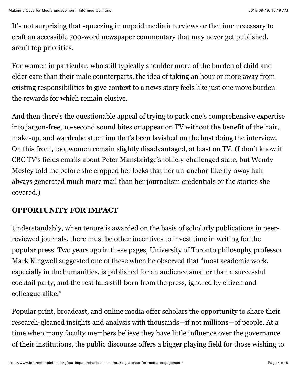It's not surprising that squeezing in unpaid media interviews or the time necessary to craft an accessible 700-word newspaper commentary that may never get published, aren't top priorities.

For women in particular, who still typically shoulder more of the burden of child and elder care than their male counterparts, the idea of taking an hour or more away from existing responsibilities to give context to a news story feels like just one more burden the rewards for which remain elusive.

And then there's the questionable appeal of trying to pack one's comprehensive expertise into jargon-free, 10-second sound bites or appear on TV without the benefit of the hair, make-up, and wardrobe attention that's been lavished on the host doing the interview. On this front, too, women remain slightly disadvantaged, at least on TV. (I don't know if CBC TV's fields emails about Peter Mansbridge's follicly-challenged state, but Wendy Mesley told me before she cropped her locks that her un-anchor-like fly-away hair always generated much more mail than her journalism credentials or the stories she covered.)

# **OPPORTUNITY FOR IMPACT**

Understandably, when tenure is awarded on the basis of scholarly publications in peerreviewed journals, there must be other incentives to invest time in writing for the popular press. Two years ago in these pages, University of Toronto philosophy professor Mark Kingwell suggested one of these when he observed that "most academic work, especially in the humanities, is published for an audience smaller than a successful cocktail party, and the rest falls still-born from the press, ignored by citizen and colleague alike."

Popular print, broadcast, and online media offer scholars the opportunity to share their research-gleaned insights and analysis with thousands—if not millions—of people. At a time when many faculty members believe they have little influence over the governance of their institutions, the public discourse offers a bigger playing field for those wishing to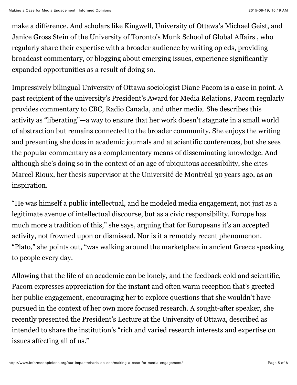make a difference. And scholars like Kingwell, University of Ottawa's Michael Geist, and Janice Gross Stein of the University of Toronto's Munk School of Global Affairs , who regularly share their expertise with a broader audience by writing op eds, providing broadcast commentary, or blogging about emerging issues, experience significantly expanded opportunities as a result of doing so.

Impressively bilingual University of Ottawa sociologist Diane Pacom is a case in point. A past recipient of the university's President's Award for Media Relations, Pacom regularly provides commentary to CBC, Radio Canada, and other media. She describes this activity as "liberating"—a way to ensure that her work doesn't stagnate in a small world of abstraction but remains connected to the broader community. She enjoys the writing and presenting she does in academic journals and at scientific conferences, but she sees the popular commentary as a complementary means of disseminating knowledge. And although she's doing so in the context of an age of ubiquitous accessibility, she cites Marcel Rioux, her thesis supervisor at the Université de Montréal 30 years ago, as an inspiration.

"He was himself a public intellectual, and he modeled media engagement, not just as a legitimate avenue of intellectual discourse, but as a civic responsibility. Europe has much more a tradition of this," she says, arguing that for Europeans it's an accepted activity, not frowned upon or dismissed. Nor is it a remotely recent phenomenon. "Plato," she points out, "was walking around the marketplace in ancient Greece speaking to people every day.

Allowing that the life of an academic can be lonely, and the feedback cold and scientific, Pacom expresses appreciation for the instant and often warm reception that's greeted her public engagement, encouraging her to explore questions that she wouldn't have pursued in the context of her own more focused research. A sought-after speaker, she recently presented the President's Lecture at the University of Ottawa, described as intended to share the institution's "rich and varied research interests and expertise on issues affecting all of us."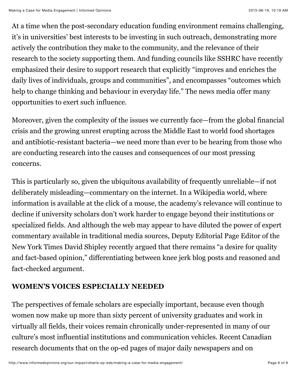At a time when the post-secondary education funding environment remains challenging, it's in universities' best interests to be investing in such outreach, demonstrating more actively the contribution they make to the community, and the relevance of their research to the society supporting them. And funding councils like SSHRC have recently emphasized their desire to support research that explicitly "improves and enriches the daily lives of individuals, groups and communities", and encompasses "outcomes which help to change thinking and behaviour in everyday life." The news media offer many opportunities to exert such influence.

Moreover, given the complexity of the issues we currently face—from the global financial crisis and the growing unrest erupting across the Middle East to world food shortages and antibiotic-resistant bacteria—we need more than ever to be hearing from those who are conducting research into the causes and consequences of our most pressing concerns.

This is particularly so, given the ubiquitous availability of frequently unreliable—if not deliberately misleading—commentary on the internet. In a Wikipedia world, where information is available at the click of a mouse, the academy's relevance will continue to decline if university scholars don't work harder to engage beyond their institutions or specialized fields. And although the web may appear to have diluted the power of expert commentary available in traditional media sources, Deputy Editorial Page Editor of the New York Times David Shipley recently argued that there remains "a desire for quality and fact-based opinion," differentiating between knee jerk blog posts and reasoned and fact-checked argument.

## **WOMEN'S VOICES ESPECIALLY NEEDED**

The perspectives of female scholars are especially important, because even though women now make up more than sixty percent of university graduates and work in virtually all fields, their voices remain chronically under-represented in many of our culture's most influential institutions and communication vehicles. Recent Canadian research documents that on the op-ed pages of major daily newspapers and on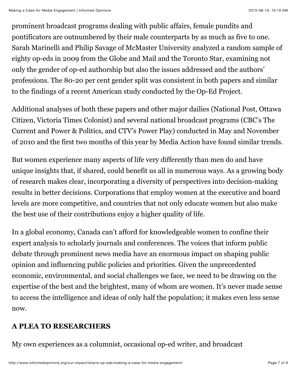prominent broadcast programs dealing with public affairs, female pundits and pontificators are outnumbered by their male counterparts by as much as five to one. Sarah Marinelli and Philip Savage of McMaster University analyzed a random sample of eighty op-eds in 2009 from the Globe and Mail and the Toronto Star, examining not only the gender of op-ed authorship but also the issues addressed and the authors' professions. The 80-20 per cent gender split was consistent in both papers and similar to the findings of a recent American study conducted by the Op-Ed Project.

Additional analyses of both these papers and other major dailies (National Post, Ottawa Citizen, Victoria Times Colonist) and several national broadcast programs (CBC's The Current and Power & Politics, and CTV's Power Play) conducted in May and November of 2010 and the first two months of this year by Media Action have found similar trends.

But women experience many aspects of life very differently than men do and have unique insights that, if shared, could benefit us all in numerous ways. As a growing body of research makes clear, incorporating a diversity of perspectives into decision-making results in better decisions. Corporations that employ women at the executive and board levels are more competitive, and countries that not only educate women but also make the best use of their contributions enjoy a higher quality of life.

In a global economy, Canada can't afford for knowledgeable women to confine their expert analysis to scholarly journals and conferences. The voices that inform public debate through prominent news media have an enormous impact on shaping public opinion and influencing public policies and priorities. Given the unprecedented economic, environmental, and social challenges we face, we need to be drawing on the expertise of the best and the brightest, many of whom are women. It's never made sense to access the intelligence and ideas of only half the population; it makes even less sense now.

#### **A PLEA TO RESEARCHERS**

My own experiences as a columnist, occasional op-ed writer, and broadcast